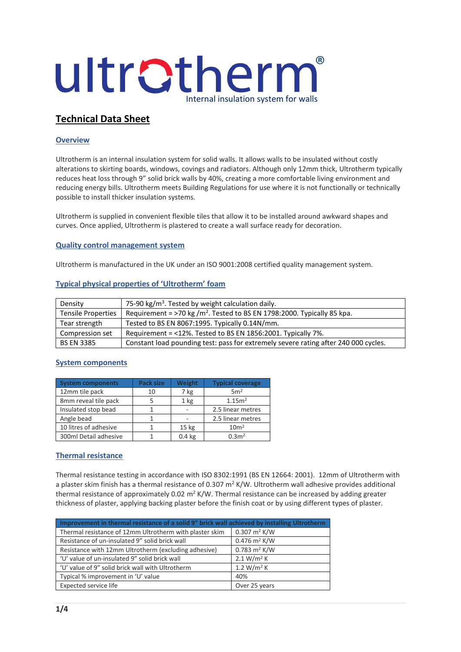

# **Technical Data Sheet**

## **Overview**

Ultrotherm is an internal insulation system for solid walls. It allows walls to be insulated without costly alterations to skirting boards, windows, covings and radiators. Although only 12mm thick, Ultrotherm typically reduces heat loss through 9" solid brick walls by 40%, creating a more comfortable living environment and reducing energy bills. Ultrotherm meets Building Regulations for use where it is not functionally or technically possible to install thicker insulation systems.

Ultrotherm is supplied in convenient flexible tiles that allow it to be installed around awkward shapes and curves. Once applied, Ultrotherm is plastered to create a wall surface ready for decoration.

#### **Quality control management system**

Ultrotherm is manufactured in the UK under an ISO 9001:2008 certified quality management system.

## **Typical physical properties of 'Ultrotherm' foam**

| Density                   | 75-90 kg/m <sup>3</sup> . Tested by weight calculation daily.                       |  |
|---------------------------|-------------------------------------------------------------------------------------|--|
| <b>Tensile Properties</b> | Requirement = >70 kg /m <sup>2</sup> . Tested to BS EN 1798:2000. Typically 85 kpa. |  |
| Tear strength             | Tested to BS EN 8067:1995. Typically 0.14N/mm.                                      |  |
| Compression set           | Requirement = <12%. Tested to BS EN 1856:2001. Typically 7%.                        |  |
| <b>BS EN 3385</b>         | Constant load pounding test: pass for extremely severe rating after 240 000 cycles. |  |

## **System components**

| <b>System components</b> | Pack size | Weight            | <b>Typical coverage</b> |
|--------------------------|-----------|-------------------|-------------------------|
| 12mm tile pack           | 10        | 7 kg              | 5m <sup>2</sup>         |
| 8mm reveal tile pack     |           | 1 <sub>kg</sub>   | 1.15 <sup>m2</sup>      |
| Insulated stop bead      |           |                   | 2.5 linear metres       |
| Angle bead               |           |                   | 2.5 linear metres       |
| 10 litres of adhesive    |           | 15 <sub>kg</sub>  | 10 <sup>m²</sup>        |
| 300ml Detail adhesive    |           | 0.4 <sub>kg</sub> | 0.3 <sup>2</sup>        |

## **Thermal resistance**

Thermal resistance testing in accordance with ISO 8302:1991 (BS EN 12664: 2001). 12mm of Ultrotherm with a plaster skim finish has a thermal resistance of 0.307 m<sup>2</sup> K/W. Ultrotherm wall adhesive provides additional thermal resistance of approximately 0.02  $m^2 K/W$ . Thermal resistance can be increased by adding greater thickness of plaster, applying backing plaster before the finish coat or by using different types of plaster.

| Improvement in thermal resistance of a solid 9" brick wall achieved by installing Ultrotherm |                                 |  |
|----------------------------------------------------------------------------------------------|---------------------------------|--|
| Thermal resistance of 12mm Ultrotherm with plaster skim                                      | $0.307 \text{ m}^2 \text{ K/W}$ |  |
| Resistance of un-insulated 9" solid brick wall                                               | $0.476$ m <sup>2</sup> K/W      |  |
| Resistance with 12mm Ultrotherm (excluding adhesive)                                         | $0.783 \text{ m}^2 \text{ K/W}$ |  |
| 'U' value of un-insulated 9" solid brick wall                                                | 2.1 W/m <sup>2</sup> K          |  |
| 'U' value of 9" solid brick wall with Ultrotherm                                             | 1.2 $W/m^2 K$                   |  |
| Typical % improvement in 'U' value                                                           | 40%                             |  |
| Expected service life                                                                        | Over 25 years                   |  |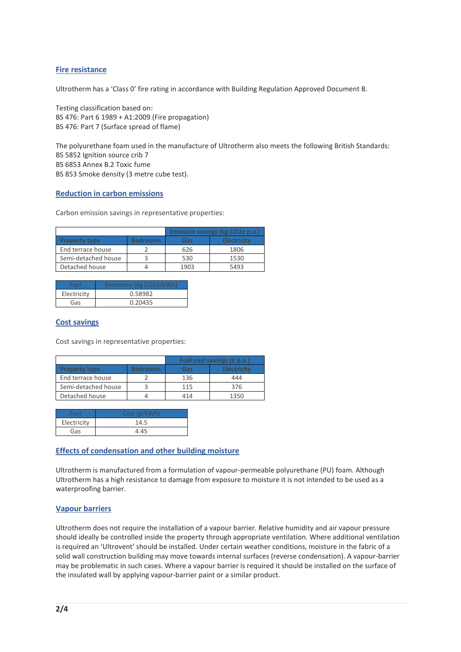## **Fire resistance**

Ultrotherm has a 'Class 0' fire rating in accordance with Building Regulation Approved Document B.

Testing classification based on: BS 476: Part 6 1989 + A1:2009 (Fire propagation) BS 476: Part 7 (Surface spread of flame)

The polyurethane foam used in the manufacture of Ultrotherm also meets the following British Standards: BS 5852 Ignition source crib 7 BS 6853 Annex B.2 Toxic fume BS 853 Smoke density (3 metre cube test).

#### **Reduction in carbon emissions**

Carbon emission savings in representative properties:

|                      |                 | <b>Emission savings (kg CO2e p.a.)</b> |                    |
|----------------------|-----------------|----------------------------------------|--------------------|
| <b>Property type</b> | <b>Bedrooms</b> | Gas                                    | <b>Electricity</b> |
| End terrace house    |                 | 626                                    | 1806               |
| Semi-detached house  |                 | 530                                    | 1530               |
| Detached house       |                 | 1903                                   | 5493               |

| Fuel        | Emissions (kg CO2e/kWh) |
|-------------|-------------------------|
| Electricity | 0.58982                 |
| Gas         | 0.20435                 |

#### **Cost savings**

Cost savings in representative properties:

|                      |                 | Fuel cost savings (£ p.a.) |                    |
|----------------------|-----------------|----------------------------|--------------------|
| <b>Property type</b> | <b>Bedrooms</b> | Gas                        | <b>Electricity</b> |
| End terrace house    |                 | 136                        | 444                |
| Semi-detached house  |                 | 115                        | 376                |
| Detached house       |                 | 414                        | 1350               |

| Fuel        | Cost (p/kWh) |
|-------------|--------------|
| Electricity | 14.5         |
| Gas         | 4.45         |

## **Effects of condensation and other building moisture**

Ultrotherm is manufactured from a formulation of vapour-permeable polyurethane (PU) foam. Although Ultrotherm has a high resistance to damage from exposure to moisture it is not intended to be used as a waterproofing barrier.

## **Vapour barriers**

Ultrotherm does not require the installation of a vapour barrier. Relative humidity and air vapour pressure should ideally be controlled inside the property through appropriate ventilation. Where additional ventilation is required an 'Ultrovent' should be installed. Under certain weather conditions, moisture in the fabric of a solid wall construction building may move towards internal surfaces (reverse condensation). A vapour-barrier may be problematic in such cases. Where a vapour barrier is required it should be installed on the surface of the insulated wall by applying vapour-barrier paint or a similar product.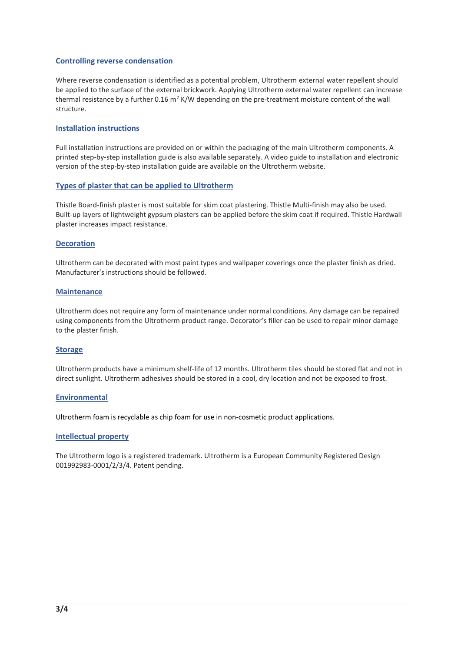#### **Controlling reverse condensation**

Where reverse condensation is identified as a potential problem, Ultrotherm external water repellent should be applied to the surface of the external brickwork. Applying Ultrotherm external water repellent can increase thermal resistance by a further 0.16  $m<sup>2</sup>$  K/W depending on the pre-treatment moisture content of the wall structure.

#### **Installation instructions**

Full installation instructions are provided on or within the packaging of the main Ultrotherm components. A printed step-by-step installation guide is also available separately. A video guide to installation and electronic version of the step-by-step installation guide are available on the Ultrotherm website.

#### **Types of plaster that can be applied to Ultrotherm**

Thistle Board-finish plaster is most suitable for skim coat plastering. Thistle Multi-finish may also be used. Built-up layers of lightweight gypsum plasters can be applied before the skim coat if required. Thistle Hardwall plaster increases impact resistance.

#### **Decoration**

Ultrotherm can be decorated with most paint types and wallpaper coverings once the plaster finish as dried. Manufacturer's instructions should be followed.

#### **Maintenance**

Ultrotherm does not require any form of maintenance under normal conditions. Any damage can be repaired using components from the Ultrotherm product range. Decorator's filler can be used to repair minor damage to the plaster finish.

#### **Storage**

Ultrotherm products have a minimum shelf-life of 12 months. Ultrotherm tiles should be stored flat and not in direct sunlight. Ultrotherm adhesives should be stored in a cool, dry location and not be exposed to frost.

#### **Environmental**

Ultrotherm foam is recyclable as chip foam for use in non-cosmetic product applications.

#### **Intellectual property**

The Ultrotherm logo is a registered trademark. Ultrotherm is a European Community Registered Design 001992983-0001/2/3/4. Patent pending.